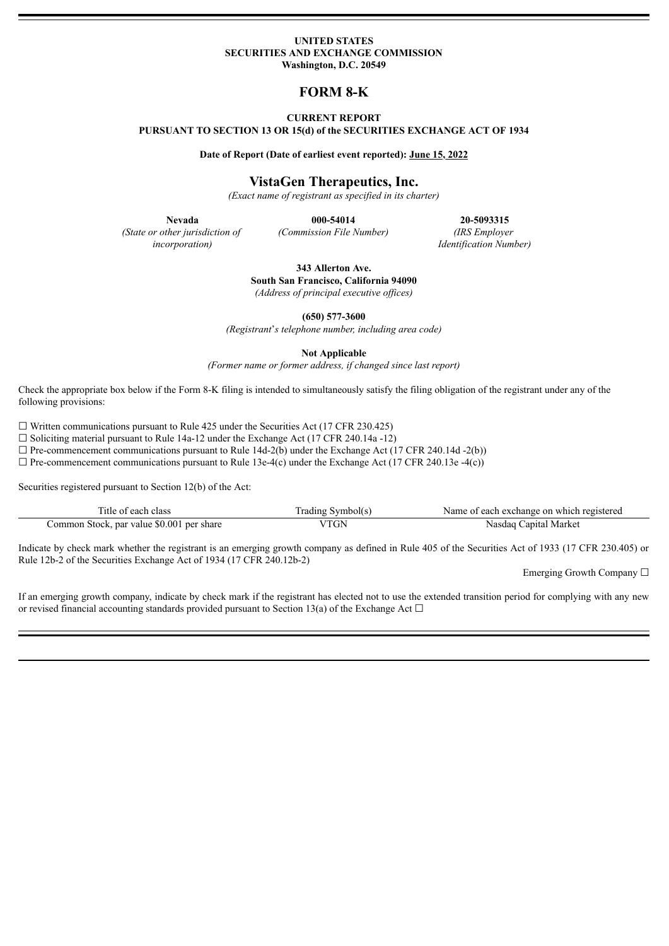#### **UNITED STATES SECURITIES AND EXCHANGE COMMISSION Washington, D.C. 20549**

# **FORM 8-K**

# **CURRENT REPORT**

**PURSUANT TO SECTION 13 OR 15(d) of the SECURITIES EXCHANGE ACT OF 1934**

**Date of Report (Date of earliest event reported): June 15, 2022**

# **VistaGen Therapeutics, Inc.**

*(Exact name of registrant as specified in its charter)*

*(State or other jurisdiction of incorporation)*

**Nevada 000-54014 20-5093315** *(Commission File Number) (IRS Employer Identification Number)*

> **343 Allerton Ave. South San Francisco, California 94090** *(Address of principal executive of ices)*

> > **(650) 577-3600**

*(Registrant*'*s telephone number, including area code)*

**Not Applicable**

*(Former name or former address, if changed since last report)*

Check the appropriate box below if the Form 8-K filing is intended to simultaneously satisfy the filing obligation of the registrant under any of the following provisions:

 $\Box$  Written communications pursuant to Rule 425 under the Securities Act (17 CFR 230.425)

 $\Box$  Soliciting material pursuant to Rule 14a-12 under the Exchange Act (17 CFR 240.14a -12)

 $\Box$  Pre-commencement communications pursuant to Rule 14d-2(b) under the Exchange Act (17 CFR 240.14d -2(b))

 $\Box$  Pre-commencement communications pursuant to Rule 13e-4(c) under the Exchange Act (17 CFR 240.13e -4(c))

Securities registered pursuant to Section 12(b) of the Act:

| ---<br>each class<br>. itie                       | ,ymbol(s'<br>rading | registereg<br>Name<br>t each exchange on t<br>which<br>nt. |
|---------------------------------------------------|---------------------|------------------------------------------------------------|
| \$0.001 per share<br>par value<br>Common Stock, r | TT<br>GN            | Capital Market<br>Nasdaq                                   |

Indicate by check mark whether the registrant is an emerging growth company as defined in Rule 405 of the Securities Act of 1933 (17 CFR 230.405) or Rule 12b-2 of the Securities Exchange Act of 1934 (17 CFR 240.12b-2)

Emerging Growth Company ☐

If an emerging growth company, indicate by check mark if the registrant has elected not to use the extended transition period for complying with any new or revised financial accounting standards provided pursuant to Section 13(a) of the Exchange Act  $\Box$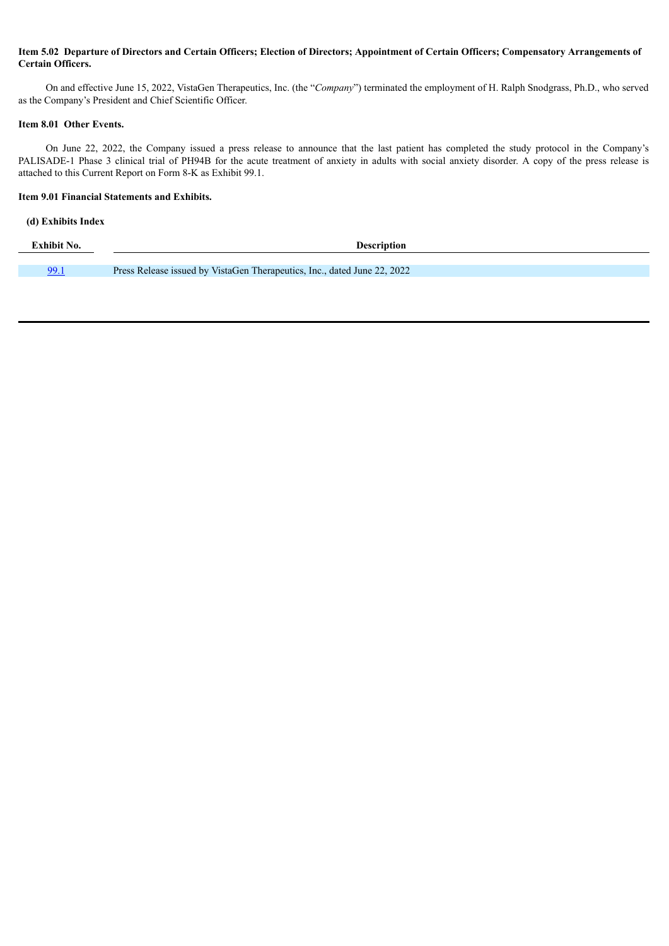# Item 5.02 Departure of Directors and Certain Officers; Election of Directors; Appointment of Certain Officers; Compensatory Arrangements of **Certain Officers.**

On and effective June 15, 2022, VistaGen Therapeutics, Inc. (the "*Company*") terminated the employment of H. Ralph Snodgrass, Ph.D., who served as the Company's President and Chief Scientific Officer.

#### **Item 8.01 Other Events.**

On June 22, 2022, the Company issued a press release to announce that the last patient has completed the study protocol in the Company's PALISADE-1 Phase 3 clinical trial of PH94B for the acute treatment of anxiety in adults with social anxiety disorder. A copy of the press release is attached to this Current Report on Form 8-K as Exhibit 99.1.

## **Item 9.01 Financial Statements and Exhibits.**

# **(d) Exhibits Index**

| Exhibit No. | <b>Description</b>                                                       |
|-------------|--------------------------------------------------------------------------|
|             |                                                                          |
|             | Press Release issued by VistaGen Therapeutics, Inc., dated June 22, 2022 |
|             |                                                                          |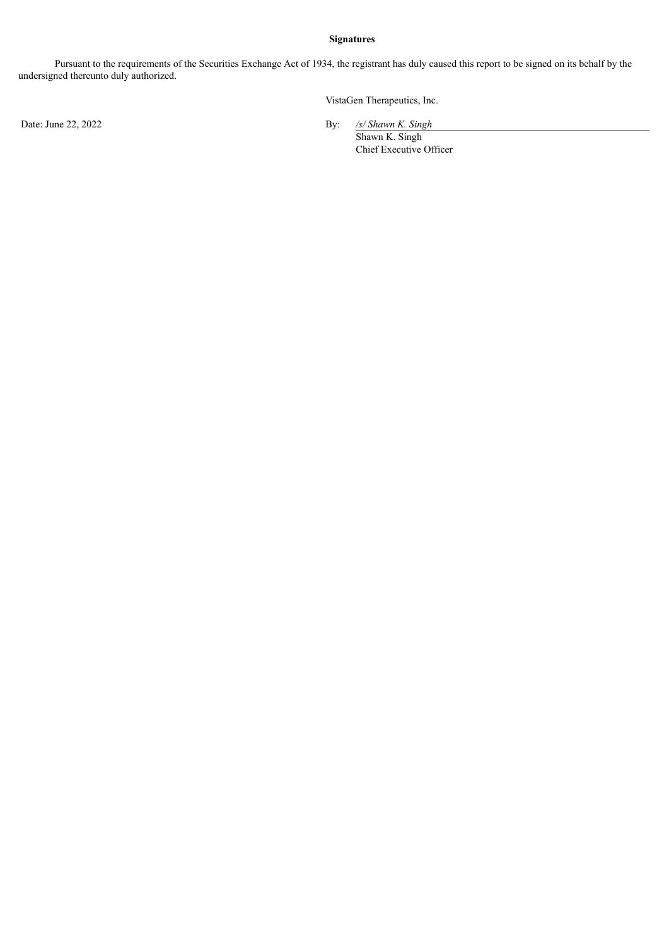# **Signatures**

Pursuant to the requirements of the Securities Exchange Act of 1934, the registrant has duly caused this report to be signed on its behalf by the undersigned thereunto duly authorized.

VistaGen Therapeutics, Inc.

Date: June 22, 2022 **By: By: Shawn By: Shawn By: Shawn By: Shawn By: Shawn By: Shawn By: Shawn By: Shawn By: Shawn By: Shawn By: Shawn By: Shawn By: Shawn By: Shawn**

 $\frac{\sqrt{s}}{\text{Shawn K. Singh}}$ Chief Executive Officer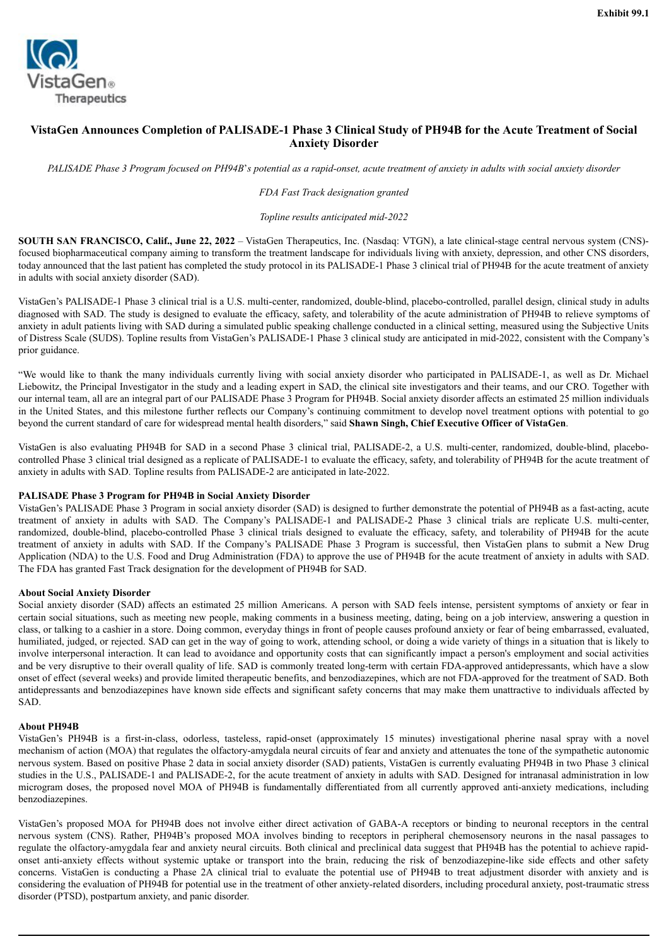<span id="page-3-0"></span>

# **VistaGen Announces Completion of PALISADE-1 Phase 3 Clinical Study of PH94B for the Acute Treatment of Social Anxiety Disorder**

PALISADE Phase 3 Program focused on PH94B's potential as a rapid-onset, acute treatment of anxiety in adults with social anxiety disorder

#### *FDA Fast Track designation granted*

#### *Topline results anticipated mid-2022*

**SOUTH SAN FRANCISCO, Calif., June 22, 2022** – VistaGen Therapeutics, Inc. (Nasdaq: VTGN), a late clinical-stage central nervous system (CNS) focused biopharmaceutical company aiming to transform the treatment landscape for individuals living with anxiety, depression, and other CNS disorders, today announced that the last patient has completed the study protocol in its PALISADE-1 Phase 3 clinical trial of PH94B for the acute treatment of anxiety in adults with social anxiety disorder (SAD).

VistaGen's PALISADE-1 Phase 3 clinical trial is a U.S. multi-center, randomized, double-blind, placebo-controlled, parallel design, clinical study in adults diagnosed with SAD. The study is designed to evaluate the efficacy, safety, and tolerability of the acute administration of PH94B to relieve symptoms of anxiety in adult patients living with SAD during a simulated public speaking challenge conducted in a clinical setting, measured using the Subjective Units of Distress Scale (SUDS). Topline results from VistaGen's PALISADE-1 Phase 3 clinical study are anticipated in mid-2022, consistent with the Company's prior guidance.

"We would like to thank the many individuals currently living with social anxiety disorder who participated in PALISADE-1, as well as Dr. Michael Liebowitz, the Principal Investigator in the study and a leading expert in SAD, the clinical site investigators and their teams, and our CRO. Together with our internal team, all are an integral part of our PALISADE Phase 3 Program for PH94B. Social anxiety disorder affects an estimated 25 million individuals in the United States, and this milestone further reflects our Company's continuing commitment to develop novel treatment options with potential to go beyond the current standard of care for widespread mental health disorders," said **Shawn Singh, Chief Executive Officer of VistaGen**.

VistaGen is also evaluating PH94B for SAD in a second Phase 3 clinical trial, PALISADE-2, a U.S. multi-center, randomized, double-blind, placebocontrolled Phase 3 clinical trial designed as a replicate of PALISADE-1 to evaluate the efficacy, safety, and tolerability of PH94B for the acute treatment of anxiety in adults with SAD. Topline results from PALISADE-2 are anticipated in late-2022.

#### **PALISADE Phase 3 Program for PH94B in Social Anxiety Disorder**

VistaGen's PALISADE Phase 3 Program in social anxiety disorder (SAD) is designed to further demonstrate the potential of PH94B as a fast-acting, acute treatment of anxiety in adults with SAD. The Company's PALISADE-1 and PALISADE-2 Phase 3 clinical trials are replicate U.S. multi-center, randomized, double-blind, placebo-controlled Phase 3 clinical trials designed to evaluate the efficacy, safety, and tolerability of PH94B for the acute treatment of anxiety in adults with SAD. If the Company's PALISADE Phase 3 Program is successful, then VistaGen plans to submit a New Drug Application (NDA) to the U.S. Food and Drug Administration (FDA) to approve the use of PH94B for the acute treatment of anxiety in adults with SAD. The FDA has granted Fast Track designation for the development of PH94B for SAD.

#### **About Social Anxiety Disorder**

Social anxiety disorder (SAD) affects an estimated 25 million Americans. A person with SAD feels intense, persistent symptoms of anxiety or fear in certain social situations, such as meeting new people, making comments in a business meeting, dating, being on a job interview, answering a question in class, or talking to a cashier in a store. Doing common, everyday things in front of people causes profound anxiety or fear of being embarrassed, evaluated, humiliated, judged, or rejected. SAD can get in the way of going to work, attending school, or doing a wide variety of things in a situation that is likely to involve interpersonal interaction. It can lead to avoidance and opportunity costs that can significantly impact a person's employment and social activities and be very disruptive to their overall quality of life. SAD is commonly treated long-term with certain FDA-approved antidepressants, which have a slow onset of effect (several weeks) and provide limited therapeutic benefits, and benzodiazepines, which are not FDA-approved for the treatment of SAD. Both antidepressants and benzodiazepines have known side effects and significant safety concerns that may make them unattractive to individuals affected by SAD.

#### **About PH94B**

VistaGen's PH94B is a first-in-class, odorless, tasteless, rapid-onset (approximately 15 minutes) investigational pherine nasal spray with a novel mechanism of action (MOA) that regulates the olfactory-amygdala neural circuits of fear and anxiety and attenuates the tone of the sympathetic autonomic nervous system. Based on positive Phase 2 data in social anxiety disorder (SAD) patients, VistaGen is currently evaluating PH94B in two Phase 3 clinical studies in the U.S., PALISADE-1 and PALISADE-2, for the acute treatment of anxiety in adults with SAD. Designed for intranasal administration in low microgram doses, the proposed novel MOA of PH94B is fundamentally differentiated from all currently approved anti-anxiety medications, including benzodiazepines.

VistaGen's proposed MOA for PH94B does not involve either direct activation of GABA-A receptors or binding to neuronal receptors in the central nervous system (CNS). Rather, PH94B's proposed MOA involves binding to receptors in peripheral chemosensory neurons in the nasal passages to regulate the olfactory-amygdala fear and anxiety neural circuits. Both clinical and preclinical data suggest that PH94B has the potential to achieve rapidonset anti-anxiety effects without systemic uptake or transport into the brain, reducing the risk of benzodiazepine-like side effects and other safety concerns. VistaGen is conducting a Phase 2A clinical trial to evaluate the potential use of PH94B to treat adjustment disorder with anxiety and is considering the evaluation of PH94B for potential use in the treatment of other anxiety-related disorders, including procedural anxiety, post-traumatic stress disorder (PTSD), postpartum anxiety, and panic disorder.